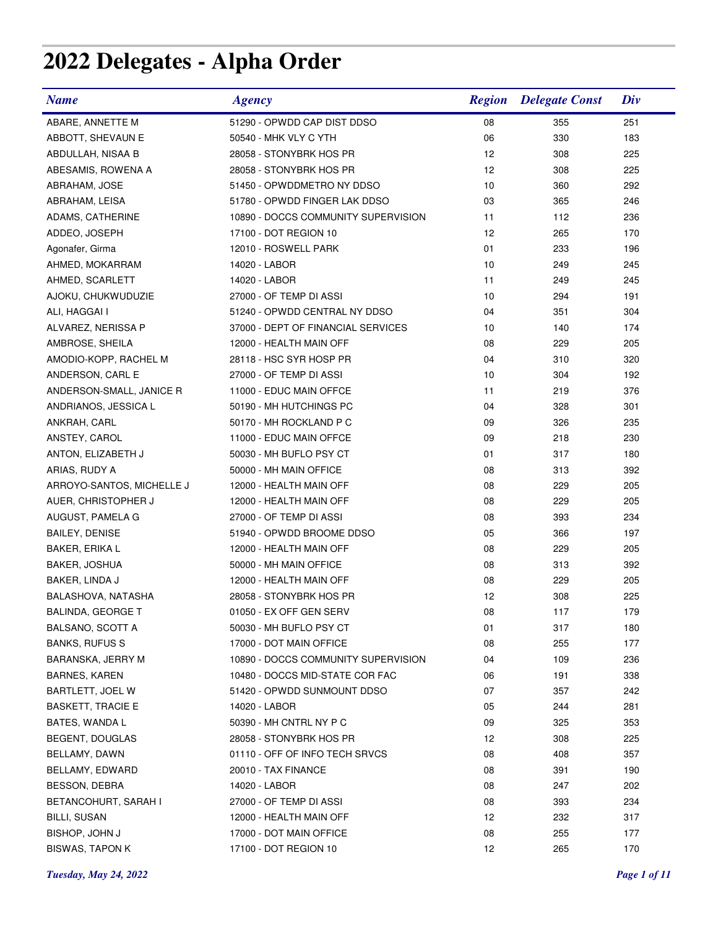## **2022 Delegates - Alpha Order**

| <b>Name</b>               | <b>Agency</b>                       |    | <b>Region</b> Delegate Const | Div |
|---------------------------|-------------------------------------|----|------------------------------|-----|
| ABARE, ANNETTE M          | 51290 - OPWDD CAP DIST DDSO         | 08 | 355                          | 251 |
| ABBOTT, SHEVAUN E         | 50540 - MHK VLY C YTH               | 06 | 330                          | 183 |
| ABDULLAH, NISAA B         | 28058 - STONYBRK HOS PR             | 12 | 308                          | 225 |
| ABESAMIS, ROWENA A        | 28058 - STONYBRK HOS PR             | 12 | 308                          | 225 |
| ABRAHAM, JOSE             | 51450 - OPWDDMETRO NY DDSO          | 10 | 360                          | 292 |
| ABRAHAM, LEISA            | 51780 - OPWDD FINGER LAK DDSO       | 03 | 365                          | 246 |
| ADAMS, CATHERINE          | 10890 - DOCCS COMMUNITY SUPERVISION | 11 | 112                          | 236 |
| ADDEO, JOSEPH             | 17100 - DOT REGION 10               | 12 | 265                          | 170 |
| Agonafer, Girma           | 12010 - ROSWELL PARK                | 01 | 233                          | 196 |
| AHMED, MOKARRAM           | 14020 - LABOR                       | 10 | 249                          | 245 |
| AHMED, SCARLETT           | 14020 - LABOR                       | 11 | 249                          | 245 |
| AJOKU, CHUKWUDUZIE        | 27000 - OF TEMP DI ASSI             | 10 | 294                          | 191 |
| ALI, HAGGAI I             | 51240 - OPWDD CENTRAL NY DDSO       | 04 | 351                          | 304 |
| ALVAREZ, NERISSA P        | 37000 - DEPT OF FINANCIAL SERVICES  | 10 | 140                          | 174 |
| AMBROSE, SHEILA           | 12000 - HEALTH MAIN OFF             | 08 | 229                          | 205 |
| AMODIO-KOPP, RACHEL M     | 28118 - HSC SYR HOSP PR             | 04 | 310                          | 320 |
| ANDERSON, CARL E          | 27000 - OF TEMP DI ASSI             | 10 | 304                          | 192 |
| ANDERSON-SMALL, JANICE R  | 11000 - EDUC MAIN OFFCE             | 11 | 219                          | 376 |
| ANDRIANOS, JESSICA L      | 50190 - MH HUTCHINGS PC             | 04 | 328                          | 301 |
| ANKRAH, CARL              | 50170 - MH ROCKLAND P C             | 09 | 326                          | 235 |
| ANSTEY, CAROL             | 11000 - EDUC MAIN OFFCE             | 09 | 218                          | 230 |
| ANTON, ELIZABETH J        | 50030 - MH BUFLO PSY CT             | 01 | 317                          | 180 |
| ARIAS, RUDY A             | 50000 - MH MAIN OFFICE              | 08 | 313                          | 392 |
| ARROYO-SANTOS, MICHELLE J | 12000 - HEALTH MAIN OFF             | 08 | 229                          | 205 |
| AUER, CHRISTOPHER J       | 12000 - HEALTH MAIN OFF             | 08 | 229                          | 205 |
| AUGUST, PAMELA G          | 27000 - OF TEMP DI ASSI             | 08 | 393                          | 234 |
| <b>BAILEY, DENISE</b>     | 51940 - OPWDD BROOME DDSO           | 05 | 366                          | 197 |
| BAKER, ERIKA L            | 12000 - HEALTH MAIN OFF             | 08 | 229                          | 205 |
| <b>BAKER, JOSHUA</b>      | 50000 - MH MAIN OFFICE              | 08 | 313                          | 392 |
| BAKER, LINDA J            | 12000 - HEALTH MAIN OFF             | 08 | 229                          | 205 |
| BALASHOVA, NATASHA        | 28058 - STONYBRK HOS PR             | 12 | 308                          | 225 |
| BALINDA, GEORGE T         | 01050 - EX OFF GEN SERV             | 08 | 117                          | 179 |
| <b>BALSANO, SCOTT A</b>   | 50030 - MH BUFLO PSY CT             | 01 | 317                          | 180 |
| <b>BANKS, RUFUS S</b>     | 17000 - DOT MAIN OFFICE             | 08 | 255                          | 177 |
| BARANSKA, JERRY M         | 10890 - DOCCS COMMUNITY SUPERVISION | 04 | 109                          | 236 |
| <b>BARNES, KAREN</b>      | 10480 - DOCCS MID-STATE COR FAC     | 06 | 191                          | 338 |
| BARTLETT, JOEL W          | 51420 - OPWDD SUNMOUNT DDSO         | 07 | 357                          | 242 |
| <b>BASKETT, TRACIE E</b>  | 14020 - LABOR                       | 05 | 244                          | 281 |
| BATES, WANDA L            | 50390 - MH CNTRL NY P C             | 09 | 325                          | 353 |
| BEGENT, DOUGLAS           | 28058 - STONYBRK HOS PR             | 12 | 308                          | 225 |
| BELLAMY, DAWN             | 01110 - OFF OF INFO TECH SRVCS      | 08 | 408                          | 357 |
| BELLAMY, EDWARD           | 20010 - TAX FINANCE                 | 08 | 391                          | 190 |
| <b>BESSON, DEBRA</b>      | 14020 - LABOR                       | 08 | 247                          | 202 |
| BETANCOHURT, SARAH I      | 27000 - OF TEMP DI ASSI             | 08 | 393                          | 234 |
| <b>BILLI, SUSAN</b>       | 12000 - HEALTH MAIN OFF             | 12 | 232                          | 317 |
| BISHOP, JOHN J            | 17000 - DOT MAIN OFFICE             | 08 | 255                          | 177 |
| <b>BISWAS, TAPON K</b>    | 17100 - DOT REGION 10               | 12 | 265                          | 170 |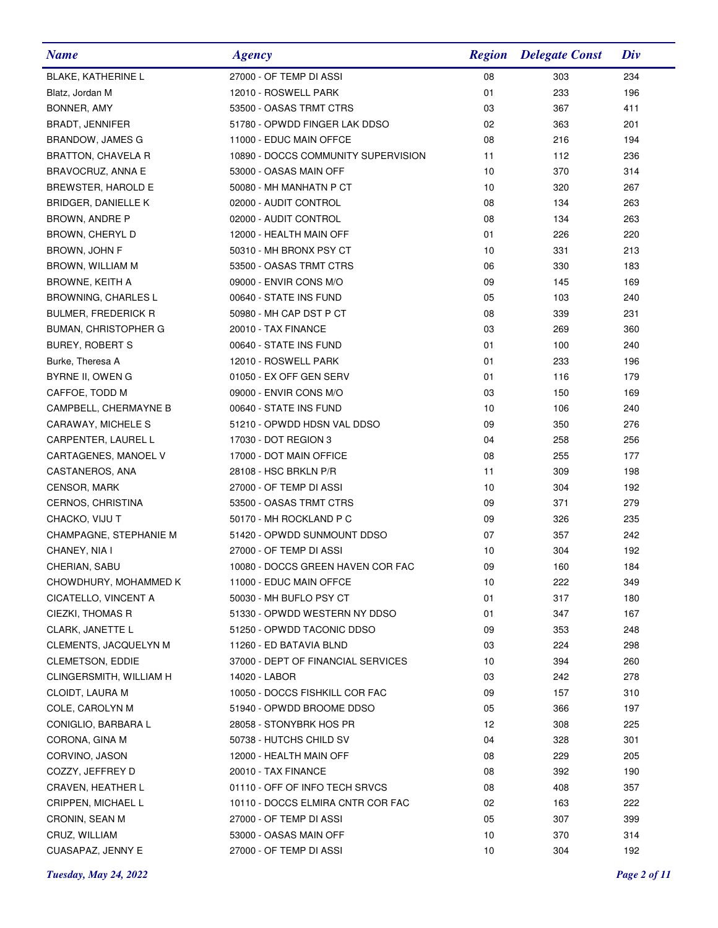| <b>Name</b>                 | <b>Agency</b>                       | <b>Region</b> | <b>Delegate Const</b> | Div |
|-----------------------------|-------------------------------------|---------------|-----------------------|-----|
| <b>BLAKE, KATHERINE L</b>   | 27000 - OF TEMP DI ASSI             | 08            | 303                   | 234 |
| Blatz, Jordan M             | 12010 - ROSWELL PARK                | 01            | 233                   | 196 |
| BONNER, AMY                 | 53500 - OASAS TRMT CTRS             | 03            | 367                   | 411 |
| <b>BRADT, JENNIFER</b>      | 51780 - OPWDD FINGER LAK DDSO       | 02            | 363                   | 201 |
| BRANDOW, JAMES G            | 11000 - EDUC MAIN OFFCE             | 08            | 216                   | 194 |
| BRATTON, CHAVELA R          | 10890 - DOCCS COMMUNITY SUPERVISION | 11            | 112                   | 236 |
| BRAVOCRUZ, ANNA E           | 53000 - OASAS MAIN OFF              | 10            | 370                   | 314 |
| BREWSTER, HAROLD E          | 50080 - MH MANHATN P CT             | 10            | 320                   | 267 |
| BRIDGER, DANIELLE K         | 02000 - AUDIT CONTROL               | 08            | 134                   | 263 |
| BROWN, ANDRE P              | 02000 - AUDIT CONTROL               | 08            | 134                   | 263 |
| BROWN, CHERYL D             | 12000 - HEALTH MAIN OFF             | 01            | 226                   | 220 |
| BROWN, JOHN F               | 50310 - MH BRONX PSY CT             | 10            | 331                   | 213 |
| BROWN, WILLIAM M            | 53500 - OASAS TRMT CTRS             | 06            | 330                   | 183 |
| BROWNE, KEITH A             | 09000 - ENVIR CONS M/O              | 09            | 145                   | 169 |
| <b>BROWNING, CHARLES L</b>  | 00640 - STATE INS FUND              | 05            | 103                   | 240 |
| <b>BULMER, FREDERICK R</b>  | 50980 - MH CAP DST P CT             | 08            | 339                   | 231 |
| <b>BUMAN, CHRISTOPHER G</b> | 20010 - TAX FINANCE                 | 03            | 269                   | 360 |
| <b>BUREY, ROBERT S</b>      | 00640 - STATE INS FUND              | 01            | 100                   | 240 |
| Burke, Theresa A            | 12010 - ROSWELL PARK                | 01            | 233                   | 196 |
| BYRNE II, OWEN G            | 01050 - EX OFF GEN SERV             | 01            | 116                   | 179 |
| CAFFOE, TODD M              | 09000 - ENVIR CONS M/O              | 03            | 150                   | 169 |
| CAMPBELL, CHERMAYNE B       | 00640 - STATE INS FUND              | 10            | 106                   | 240 |
| CARAWAY, MICHELE S          | 51210 - OPWDD HDSN VAL DDSO         | 09            | 350                   | 276 |
| CARPENTER, LAUREL L         | 17030 - DOT REGION 3                | 04            | 258                   | 256 |
| CARTAGENES, MANOEL V        | 17000 - DOT MAIN OFFICE             | 08            | 255                   | 177 |
| CASTANEROS, ANA             | 28108 - HSC BRKLN P/R               | 11            | 309                   | 198 |
| <b>CENSOR, MARK</b>         | 27000 - OF TEMP DI ASSI             | 10            | 304                   | 192 |
| CERNOS, CHRISTINA           | 53500 - OASAS TRMT CTRS             | 09            | 371                   | 279 |
| CHACKO, VIJU T              | 50170 - MH ROCKLAND P C             | 09            | 326                   | 235 |
| CHAMPAGNE, STEPHANIE M      | 51420 - OPWDD SUNMOUNT DDSO         | 07            | 357                   | 242 |
| CHANEY, NIA I               | 27000 - OF TEMP DI ASSI             | 10            | 304                   | 192 |
| CHERIAN, SABU               | 10080 - DOCCS GREEN HAVEN COR FAC   | 09            | 160                   | 184 |
| CHOWDHURY, MOHAMMED K       | 11000 - EDUC MAIN OFFCE             | 10            | 222                   | 349 |
| CICATELLO, VINCENT A        | 50030 - MH BUFLO PSY CT             | 01            | 317                   | 180 |
| CIEZKI, THOMAS R            | 51330 - OPWDD WESTERN NY DDSO       | 01            | 347                   | 167 |
| <b>CLARK, JANETTE L</b>     | 51250 - OPWDD TACONIC DDSO          | 09            | 353                   | 248 |
| CLEMENTS, JACQUELYN M       | 11260 - ED BATAVIA BLND             | 03            | 224                   | 298 |
| <b>CLEMETSON, EDDIE</b>     | 37000 - DEPT OF FINANCIAL SERVICES  | 10            | 394                   | 260 |
| CLINGERSMITH, WILLIAM H     | 14020 - LABOR                       | 03            | 242                   | 278 |
| CLOIDT, LAURA M             | 10050 - DOCCS FISHKILL COR FAC      | 09            | 157                   | 310 |
| COLE, CAROLYN M             | 51940 - OPWDD BROOME DDSO           | 05            | 366                   | 197 |
| CONIGLIO, BARBARA L         | 28058 - STONYBRK HOS PR             | 12            | 308                   | 225 |
| CORONA, GINA M              | 50738 - HUTCHS CHILD SV             | 04            | 328                   | 301 |
| CORVINO, JASON              | 12000 - HEALTH MAIN OFF             | 08            | 229                   | 205 |
| COZZY, JEFFREY D            | 20010 - TAX FINANCE                 | 08            | 392                   | 190 |
| CRAVEN, HEATHER L           | 01110 - OFF OF INFO TECH SRVCS      | 08            | 408                   | 357 |
| CRIPPEN, MICHAEL L          | 10110 - DOCCS ELMIRA CNTR COR FAC   | 02            | 163                   | 222 |
| CRONIN, SEAN M              | 27000 - OF TEMP DI ASSI             | 05            | 307                   | 399 |
| CRUZ, WILLIAM               | 53000 - OASAS MAIN OFF              | 10            | 370                   | 314 |
| CUASAPAZ, JENNY E           | 27000 - OF TEMP DI ASSI             | 10            | 304                   | 192 |

*Tuesday, May 24, 2022 Page 2 of 11*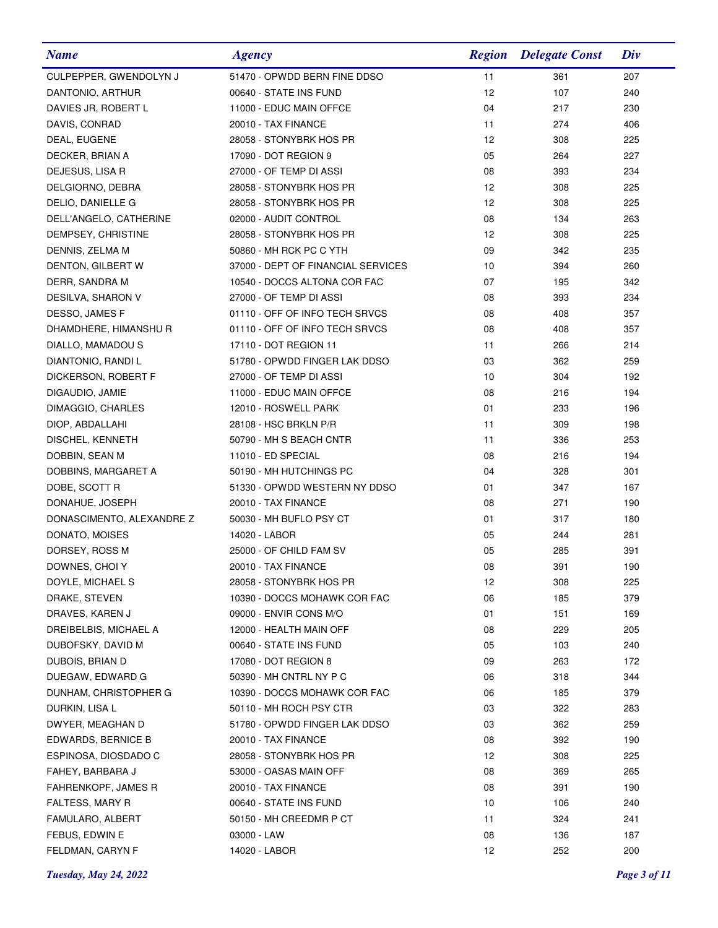| <b>Name</b>               | <b>Agency</b>                      | <b>Region</b> | <b>Delegate Const</b> | Div |
|---------------------------|------------------------------------|---------------|-----------------------|-----|
| CULPEPPER, GWENDOLYN J    | 51470 - OPWDD BERN FINE DDSO       | 11            | 361                   | 207 |
| DANTONIO, ARTHUR          | 00640 - STATE INS FUND             | 12            | 107                   | 240 |
| DAVIES JR, ROBERT L       | 11000 - EDUC MAIN OFFCE            | 04            | 217                   | 230 |
| DAVIS, CONRAD             | 20010 - TAX FINANCE                | 11            | 274                   | 406 |
| DEAL, EUGENE              | 28058 - STONYBRK HOS PR            | 12            | 308                   | 225 |
| DECKER, BRIAN A           | 17090 - DOT REGION 9               | 05            | 264                   | 227 |
| DEJESUS, LISA R           | 27000 - OF TEMP DI ASSI            | 08            | 393                   | 234 |
| DELGIORNO, DEBRA          | 28058 - STONYBRK HOS PR            | 12            | 308                   | 225 |
| DELIO, DANIELLE G         | 28058 - STONYBRK HOS PR            | 12            | 308                   | 225 |
| DELL'ANGELO, CATHERINE    | 02000 - AUDIT CONTROL              | 08            | 134                   | 263 |
| DEMPSEY, CHRISTINE        | 28058 - STONYBRK HOS PR            | 12            | 308                   | 225 |
| DENNIS, ZELMA M           | 50860 - MH RCK PC C YTH            | 09            | 342                   | 235 |
| DENTON, GILBERT W         | 37000 - DEPT OF FINANCIAL SERVICES | 10            | 394                   | 260 |
| DERR, SANDRA M            | 10540 - DOCCS ALTONA COR FAC       | 07            | 195                   | 342 |
| DESILVA, SHARON V         | 27000 - OF TEMP DI ASSI            | 08            | 393                   | 234 |
| DESSO, JAMES F            | 01110 - OFF OF INFO TECH SRVCS     | 08            | 408                   | 357 |
| DHAMDHERE, HIMANSHU R     | 01110 - OFF OF INFO TECH SRVCS     | 08            | 408                   | 357 |
| DIALLO, MAMADOU S         | 17110 - DOT REGION 11              | 11            | 266                   | 214 |
| DIANTONIO, RANDI L        | 51780 - OPWDD FINGER LAK DDSO      | 03            | 362                   | 259 |
| DICKERSON, ROBERT F       | 27000 - OF TEMP DI ASSI            | 10            | 304                   | 192 |
| DIGAUDIO, JAMIE           | 11000 - EDUC MAIN OFFCE            | 08            | 216                   | 194 |
| DIMAGGIO, CHARLES         | 12010 - ROSWELL PARK               | 01            | 233                   | 196 |
| DIOP, ABDALLAHI           | 28108 - HSC BRKLN P/R              | 11            | 309                   | 198 |
| DISCHEL, KENNETH          | 50790 - MH S BEACH CNTR            | 11            | 336                   | 253 |
| DOBBIN, SEAN M            | 11010 - ED SPECIAL                 | 08            | 216                   | 194 |
| DOBBINS, MARGARET A       | 50190 - MH HUTCHINGS PC            | 04            | 328                   | 301 |
| DOBE, SCOTT R             | 51330 - OPWDD WESTERN NY DDSO      | 01            | 347                   | 167 |
| DONAHUE, JOSEPH           | 20010 - TAX FINANCE                | 08            | 271                   | 190 |
| DONASCIMENTO, ALEXANDRE Z | 50030 - MH BUFLO PSY CT            | 01            | 317                   | 180 |
| DONATO, MOISES            | 14020 - LABOR                      | 05            | 244                   | 281 |
| DORSEY, ROSS M            | 25000 - OF CHILD FAM SV            | 05            | 285                   | 391 |
| DOWNES, CHOI Y            | 20010 - TAX FINANCE                | 08            | 391                   | 190 |
| DOYLE, MICHAEL S          | 28058 - STONYBRK HOS PR            | 12            | 308                   | 225 |
| DRAKE, STEVEN             | 10390 - DOCCS MOHAWK COR FAC       | 06            | 185                   | 379 |
| DRAVES, KAREN J           | 09000 - ENVIR CONS M/O             | 01            | 151                   | 169 |
| DREIBELBIS, MICHAEL A     | 12000 - HEALTH MAIN OFF            | 08            | 229                   | 205 |
| DUBOFSKY, DAVID M         | 00640 - STATE INS FUND             | 05            | 103                   | 240 |
| DUBOIS, BRIAN D           | 17080 - DOT REGION 8               | 09            | 263                   | 172 |
| DUEGAW, EDWARD G          | 50390 - MH CNTRL NY P C            | 06            | 318                   | 344 |
| DUNHAM, CHRISTOPHER G     | 10390 - DOCCS MOHAWK COR FAC       | 06            | 185                   | 379 |
| DURKIN, LISA L            | 50110 - MH ROCH PSY CTR            | 03            | 322                   | 283 |
| DWYER, MEAGHAN D          | 51780 - OPWDD FINGER LAK DDSO      | 03            | 362                   | 259 |
| EDWARDS, BERNICE B        | 20010 - TAX FINANCE                | 08            | 392                   | 190 |
| ESPINOSA, DIOSDADO C      | 28058 - STONYBRK HOS PR            | 12            | 308                   | 225 |
| FAHEY, BARBARA J          | 53000 - OASAS MAIN OFF             | 08            | 369                   | 265 |
| FAHRENKOPF, JAMES R       | 20010 - TAX FINANCE                | 08            | 391                   | 190 |
| <b>FALTESS, MARY R</b>    | 00640 - STATE INS FUND             | 10            | 106                   | 240 |
| FAMULARO, ALBERT          | 50150 - MH CREEDMR P CT            | 11            | 324                   | 241 |
| FEBUS, EDWIN E            | 03000 - LAW                        | 08            | 136                   | 187 |
| FELDMAN, CARYN F          | 14020 - LABOR                      | 12            | 252                   | 200 |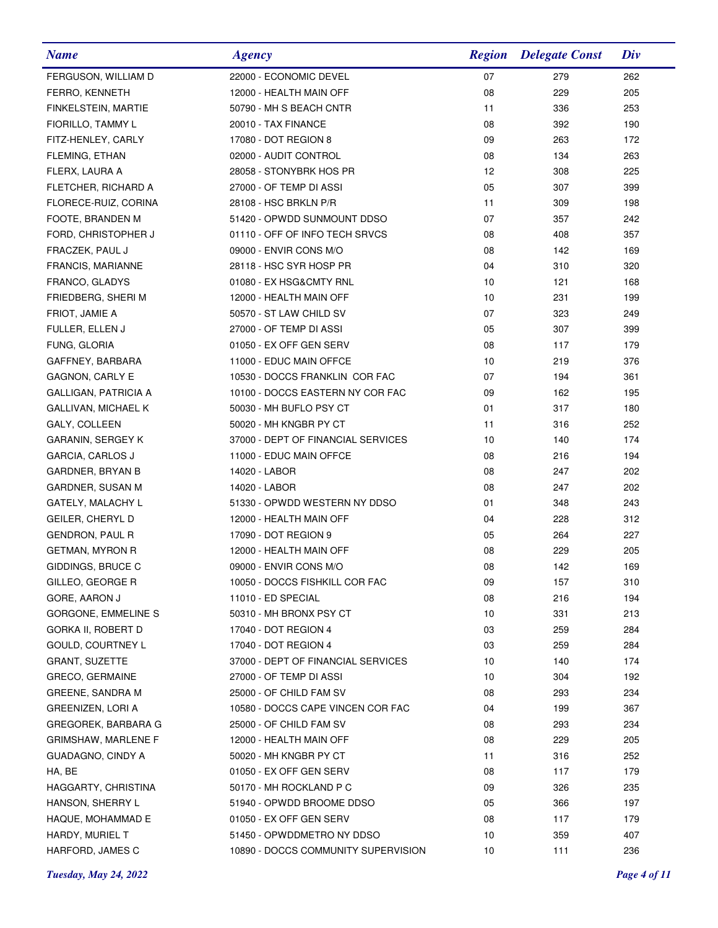| <b>Name</b>                 | <b>Agency</b>                       | <b>Region</b> | <b>Delegate Const</b> | Div |
|-----------------------------|-------------------------------------|---------------|-----------------------|-----|
| FERGUSON, WILLIAM D         | 22000 - ECONOMIC DEVEL              | 07            | 279                   | 262 |
| FERRO, KENNETH              | 12000 - HEALTH MAIN OFF             | 08            | 229                   | 205 |
| FINKELSTEIN, MARTIE         | 50790 - MH S BEACH CNTR             | 11            | 336                   | 253 |
| FIORILLO, TAMMY L           | 20010 - TAX FINANCE                 | 08            | 392                   | 190 |
| FITZ-HENLEY, CARLY          | 17080 - DOT REGION 8                | 09            | 263                   | 172 |
| FLEMING, ETHAN              | 02000 - AUDIT CONTROL               | 08            | 134                   | 263 |
| FLERX, LAURA A              | 28058 - STONYBRK HOS PR             | 12            | 308                   | 225 |
| FLETCHER, RICHARD A         | 27000 - OF TEMP DI ASSI             | 05            | 307                   | 399 |
| FLORECE-RUIZ, CORINA        | 28108 - HSC BRKLN P/R               | 11            | 309                   | 198 |
| FOOTE, BRANDEN M            | 51420 - OPWDD SUNMOUNT DDSO         | 07            | 357                   | 242 |
| FORD, CHRISTOPHER J         | 01110 - OFF OF INFO TECH SRVCS      | 08            | 408                   | 357 |
| FRACZEK, PAUL J             | 09000 - ENVIR CONS M/O              | 08            | 142                   | 169 |
| FRANCIS, MARIANNE           | 28118 - HSC SYR HOSP PR             | 04            | 310                   | 320 |
| FRANCO, GLADYS              | 01080 - EX HSG&CMTY RNL             | 10            | 121                   | 168 |
| FRIEDBERG, SHERI M          | 12000 - HEALTH MAIN OFF             | 10            | 231                   | 199 |
| FRIOT, JAMIE A              | 50570 - ST LAW CHILD SV             | 07            | 323                   | 249 |
| FULLER, ELLEN J             | 27000 - OF TEMP DI ASSI             | 05            | 307                   | 399 |
| FUNG, GLORIA                | 01050 - EX OFF GEN SERV             | 08            | 117                   | 179 |
| GAFFNEY, BARBARA            | 11000 - EDUC MAIN OFFCE             | 10            | 219                   | 376 |
| <b>GAGNON, CARLY E</b>      | 10530 - DOCCS FRANKLIN COR FAC      | 07            | 194                   | 361 |
| <b>GALLIGAN, PATRICIA A</b> | 10100 - DOCCS EASTERN NY COR FAC    | 09            | 162                   | 195 |
| <b>GALLIVAN, MICHAEL K</b>  | 50030 - MH BUFLO PSY CT             | 01            | 317                   | 180 |
| GALY, COLLEEN               | 50020 - MH KNGBR PY CT              | 11            | 316                   | 252 |
| GARANIN, SERGEY K           | 37000 - DEPT OF FINANCIAL SERVICES  | 10            | 140                   | 174 |
| <b>GARCIA, CARLOS J</b>     | 11000 - EDUC MAIN OFFCE             | 08            | 216                   | 194 |
| <b>GARDNER, BRYAN B</b>     | 14020 - LABOR                       | 08            | 247                   | 202 |
| GARDNER, SUSAN M            | 14020 - LABOR                       | 08            | 247                   | 202 |
| GATELY, MALACHY L           | 51330 - OPWDD WESTERN NY DDSO       | 01            | 348                   | 243 |
| GEILER, CHERYL D            | 12000 - HEALTH MAIN OFF             | 04            | 228                   | 312 |
| GENDRON, PAUL R             | 17090 - DOT REGION 9                | 05            | 264                   | 227 |
| <b>GETMAN, MYRON R</b>      | 12000 - HEALTH MAIN OFF             | 08            | 229                   | 205 |
| GIDDINGS, BRUCE C           | 09000 - ENVIR CONS M/O              | 08            | 142                   | 169 |
| GILLEO, GEORGE R            | 10050 - DOCCS FISHKILL COR FAC      | 09            | 157                   | 310 |
| GORE, AARON J               | 11010 - ED SPECIAL                  | 08            | 216                   | 194 |
| GORGONE, EMMELINE S         | 50310 - MH BRONX PSY CT             | 10            | 331                   | 213 |
| GORKA II, ROBERT D          | 17040 - DOT REGION 4                | 03            | 259                   | 284 |
| GOULD, COURTNEY L           | 17040 - DOT REGION 4                | 03            | 259                   | 284 |
| <b>GRANT, SUZETTE</b>       | 37000 - DEPT OF FINANCIAL SERVICES  | 10            | 140                   | 174 |
| <b>GRECO, GERMAINE</b>      | 27000 - OF TEMP DI ASSI             | 10            | 304                   | 192 |
| GREENE, SANDRA M            | 25000 - OF CHILD FAM SV             | 08            | 293                   | 234 |
| GREENIZEN, LORI A           | 10580 - DOCCS CAPE VINCEN COR FAC   | 04            | 199                   | 367 |
| GREGOREK, BARBARA G         | 25000 - OF CHILD FAM SV             | 08            | 293                   | 234 |
| <b>GRIMSHAW, MARLENE F</b>  | 12000 - HEALTH MAIN OFF             | 08            | 229                   | 205 |
| <b>GUADAGNO, CINDY A</b>    | 50020 - MH KNGBR PY CT              | 11            | 316                   | 252 |
| HA, BE                      | 01050 - EX OFF GEN SERV             | 08            | 117                   | 179 |
| HAGGARTY, CHRISTINA         | 50170 - MH ROCKLAND P C             | 09            | 326                   | 235 |
| HANSON, SHERRY L            | 51940 - OPWDD BROOME DDSO           | 05            | 366                   | 197 |
| HAQUE, MOHAMMAD E           | 01050 - EX OFF GEN SERV             | 08            | 117                   | 179 |
| HARDY, MURIEL T             | 51450 - OPWDDMETRO NY DDSO          | 10            | 359                   | 407 |
| HARFORD, JAMES C            | 10890 - DOCCS COMMUNITY SUPERVISION | 10            | 111                   | 236 |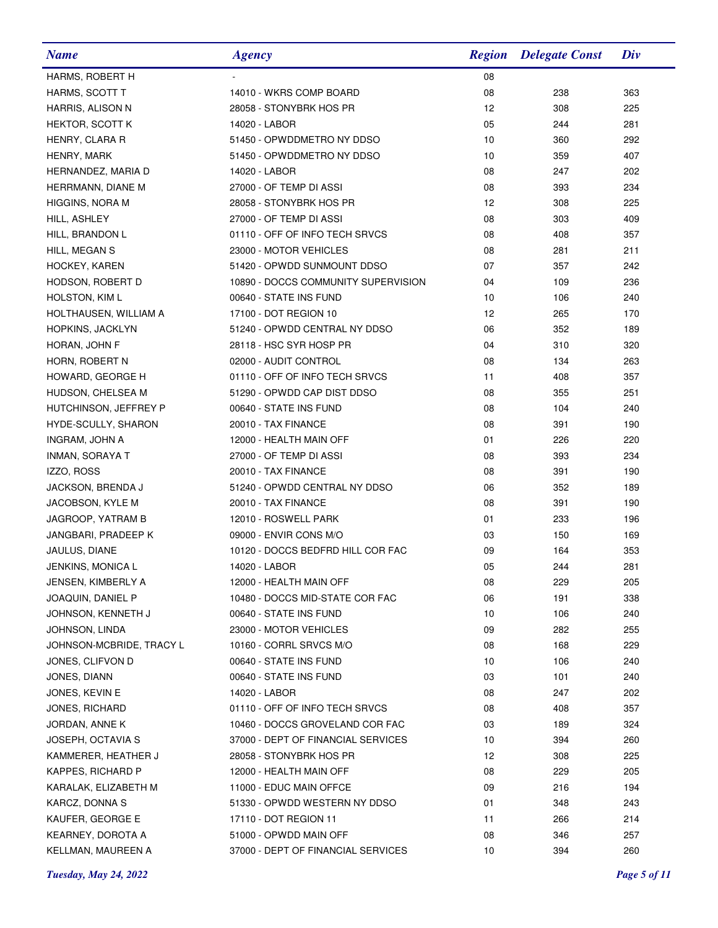| <b>Name</b>              | <b>Agency</b>                       | <b>Region</b>   | <b>Delegate Const</b> | Div |
|--------------------------|-------------------------------------|-----------------|-----------------------|-----|
| HARMS, ROBERT H          |                                     | 08              |                       |     |
| HARMS, SCOTT T           | 14010 - WKRS COMP BOARD             | 08              | 238                   | 363 |
| HARRIS, ALISON N         | 28058 - STONYBRK HOS PR             | 12              | 308                   | 225 |
| HEKTOR, SCOTT K          | 14020 - LABOR                       | 05              | 244                   | 281 |
| HENRY, CLARA R           | 51450 - OPWDDMETRO NY DDSO          | 10              | 360                   | 292 |
| HENRY, MARK              | 51450 - OPWDDMETRO NY DDSO          | 10              | 359                   | 407 |
| HERNANDEZ, MARIA D       | 14020 - LABOR                       | 08              | 247                   | 202 |
| HERRMANN, DIANE M        | 27000 - OF TEMP DI ASSI             | 08              | 393                   | 234 |
| <b>HIGGINS, NORA M</b>   | 28058 - STONYBRK HOS PR             | 12              | 308                   | 225 |
| HILL, ASHLEY             | 27000 - OF TEMP DI ASSI             | 08              | 303                   | 409 |
| HILL, BRANDON L          | 01110 - OFF OF INFO TECH SRVCS      | 08              | 408                   | 357 |
| HILL, MEGAN S            | 23000 - MOTOR VEHICLES              | 08              | 281                   | 211 |
| HOCKEY, KAREN            | 51420 - OPWDD SUNMOUNT DDSO         | 07              | 357                   | 242 |
| HODSON, ROBERT D         | 10890 - DOCCS COMMUNITY SUPERVISION | 04              | 109                   | 236 |
| HOLSTON, KIM L           | 00640 - STATE INS FUND              | 10              | 106                   | 240 |
| HOLTHAUSEN, WILLIAM A    | 17100 - DOT REGION 10               | 12 <sup>2</sup> | 265                   | 170 |
| HOPKINS, JACKLYN         | 51240 - OPWDD CENTRAL NY DDSO       | 06              | 352                   | 189 |
| HORAN, JOHN F            | 28118 - HSC SYR HOSP PR             | 04              | 310                   | 320 |
| HORN, ROBERT N           | 02000 - AUDIT CONTROL               | 08              | 134                   | 263 |
| HOWARD, GEORGE H         | 01110 - OFF OF INFO TECH SRVCS      | 11              | 408                   | 357 |
| HUDSON, CHELSEA M        | 51290 - OPWDD CAP DIST DDSO         | 08              | 355                   | 251 |
| HUTCHINSON, JEFFREY P    | 00640 - STATE INS FUND              | 08              | 104                   | 240 |
| HYDE-SCULLY, SHARON      | 20010 - TAX FINANCE                 | 08              | 391                   | 190 |
| INGRAM, JOHN A           | 12000 - HEALTH MAIN OFF             | 01              | 226                   | 220 |
| INMAN, SORAYA T          | 27000 - OF TEMP DI ASSI             | 08              | 393                   | 234 |
| IZZO, ROSS               | 20010 - TAX FINANCE                 | 08              | 391                   | 190 |
| JACKSON, BRENDA J        | 51240 - OPWDD CENTRAL NY DDSO       | 06              | 352                   | 189 |
| JACOBSON, KYLE M         | 20010 - TAX FINANCE                 | 08              | 391                   | 190 |
| JAGROOP, YATRAM B        | 12010 - ROSWELL PARK                | 01              | 233                   | 196 |
| JANGBARI, PRADEEP K      | 09000 - ENVIR CONS M/O              | 03              | 150                   | 169 |
| JAULUS, DIANE            | 10120 - DOCCS BEDFRD HILL COR FAC   | 09              | 164                   | 353 |
| JENKINS, MONICA L        | 14020 - LABOR                       | 05              | 244                   | 281 |
| JENSEN, KIMBERLY A       | 12000 - HEALTH MAIN OFF             | 08              | 229                   | 205 |
| JOAQUIN, DANIEL P        | 10480 - DOCCS MID-STATE COR FAC     | 06              | 191                   | 338 |
| JOHNSON, KENNETH J       | 00640 - STATE INS FUND              | 10              | 106                   | 240 |
| JOHNSON, LINDA           | 23000 - MOTOR VEHICLES              | 09              | 282                   | 255 |
| JOHNSON-MCBRIDE, TRACY L | 10160 - CORRL SRVCS M/O             | 08              | 168                   | 229 |
| JONES, CLIFVON D         | 00640 - STATE INS FUND              | 10              | 106                   | 240 |
| JONES, DIANN             | 00640 - STATE INS FUND              | 03              | 101                   | 240 |
| JONES, KEVIN E           | 14020 - LABOR                       | 08              | 247                   | 202 |
| JONES, RICHARD           | 01110 - OFF OF INFO TECH SRVCS      | 08              | 408                   | 357 |
| JORDAN, ANNE K           | 10460 - DOCCS GROVELAND COR FAC     | 03              | 189                   | 324 |
| JOSEPH, OCTAVIA S        | 37000 - DEPT OF FINANCIAL SERVICES  | 10              | 394                   | 260 |
| KAMMERER, HEATHER J      | 28058 - STONYBRK HOS PR             | 12              | 308                   | 225 |
| <b>KAPPES, RICHARD P</b> | 12000 - HEALTH MAIN OFF             | 08              | 229                   | 205 |
| KARALAK, ELIZABETH M     | 11000 - EDUC MAIN OFFCE             | 09              | 216                   | 194 |
| KARCZ, DONNA S           | 51330 - OPWDD WESTERN NY DDSO       | 01              | 348                   | 243 |
| KAUFER, GEORGE E         | 17110 - DOT REGION 11               | 11              | 266                   | 214 |
| KEARNEY, DOROTA A        | 51000 - OPWDD MAIN OFF              | 08              | 346                   | 257 |
| KELLMAN, MAUREEN A       | 37000 - DEPT OF FINANCIAL SERVICES  | 10              | 394                   | 260 |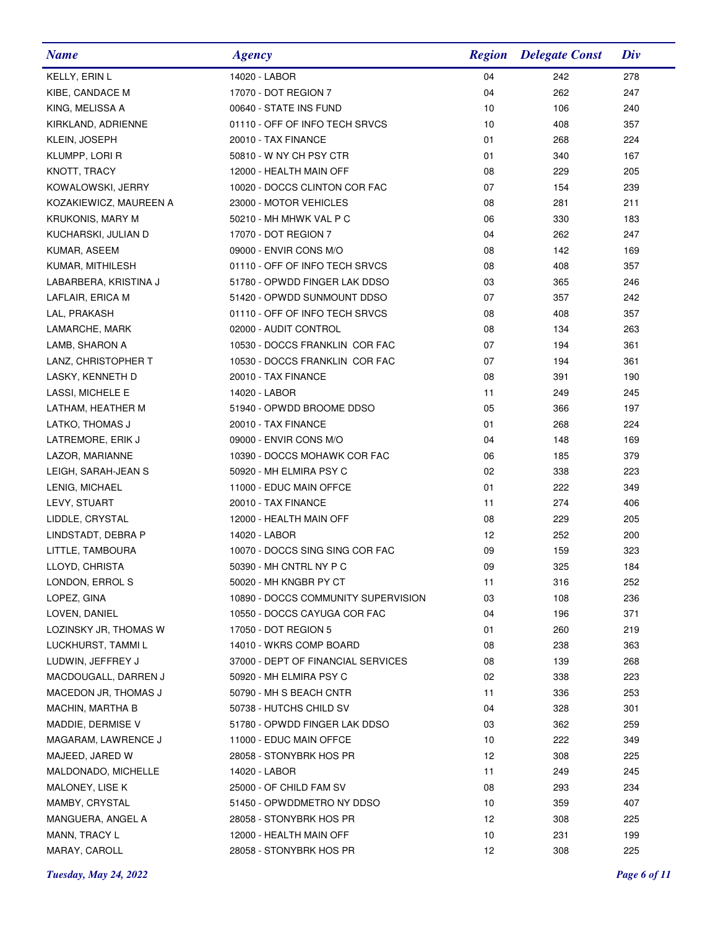| <b>Name</b>             | <b>Agency</b>                       |    | <b>Region</b> Delegate Const | Div |
|-------------------------|-------------------------------------|----|------------------------------|-----|
| KELLY, ERIN L           | 14020 - LABOR                       | 04 | 242                          | 278 |
| KIBE, CANDACE M         | 17070 - DOT REGION 7                | 04 | 262                          | 247 |
| KING, MELISSA A         | 00640 - STATE INS FUND              | 10 | 106                          | 240 |
| KIRKLAND, ADRIENNE      | 01110 - OFF OF INFO TECH SRVCS      | 10 | 408                          | 357 |
| KLEIN, JOSEPH           | 20010 - TAX FINANCE                 | 01 | 268                          | 224 |
| KLUMPP, LORI R          | 50810 - W NY CH PSY CTR             | 01 | 340                          | 167 |
| KNOTT, TRACY            | 12000 - HEALTH MAIN OFF             | 08 | 229                          | 205 |
| KOWALOWSKI, JERRY       | 10020 - DOCCS CLINTON COR FAC       | 07 | 154                          | 239 |
| KOZAKIEWICZ, MAUREEN A  | 23000 - MOTOR VEHICLES              | 08 | 281                          | 211 |
| <b>KRUKONIS, MARY M</b> | 50210 - MH MHWK VAL P C             | 06 | 330                          | 183 |
| KUCHARSKI, JULIAN D     | 17070 - DOT REGION 7                | 04 | 262                          | 247 |
| KUMAR, ASEEM            | 09000 - ENVIR CONS M/O              | 08 | 142                          | 169 |
| KUMAR, MITHILESH        | 01110 - OFF OF INFO TECH SRVCS      | 08 | 408                          | 357 |
| LABARBERA, KRISTINA J   | 51780 - OPWDD FINGER LAK DDSO       | 03 | 365                          | 246 |
| LAFLAIR, ERICA M        | 51420 - OPWDD SUNMOUNT DDSO         | 07 | 357                          | 242 |
| LAL, PRAKASH            | 01110 - OFF OF INFO TECH SRVCS      | 08 | 408                          | 357 |
| LAMARCHE, MARK          | 02000 - AUDIT CONTROL               | 08 | 134                          | 263 |
| LAMB, SHARON A          | 10530 - DOCCS FRANKLIN COR FAC      | 07 | 194                          | 361 |
| LANZ, CHRISTOPHER T     | 10530 - DOCCS FRANKLIN COR FAC      | 07 | 194                          | 361 |
| LASKY, KENNETH D        | 20010 - TAX FINANCE                 | 08 | 391                          | 190 |
| LASSI, MICHELE E        | 14020 - LABOR                       | 11 | 249                          | 245 |
| LATHAM, HEATHER M       | 51940 - OPWDD BROOME DDSO           | 05 | 366                          | 197 |
| LATKO, THOMAS J         | 20010 - TAX FINANCE                 | 01 | 268                          | 224 |
| LATREMORE, ERIK J       | 09000 - ENVIR CONS M/O              | 04 | 148                          | 169 |
| LAZOR, MARIANNE         | 10390 - DOCCS MOHAWK COR FAC        | 06 | 185                          | 379 |
| LEIGH, SARAH-JEAN S     | 50920 - MH ELMIRA PSY C             | 02 | 338                          | 223 |
| LENIG, MICHAEL          | 11000 - EDUC MAIN OFFCE             | 01 | 222                          | 349 |
| LEVY, STUART            | 20010 - TAX FINANCE                 | 11 | 274                          | 406 |
| LIDDLE, CRYSTAL         | 12000 - HEALTH MAIN OFF             | 08 | 229                          | 205 |
| LINDSTADT, DEBRA P      | 14020 - LABOR                       | 12 | 252                          | 200 |
| LITTLE, TAMBOURA        | 10070 - DOCCS SING SING COR FAC     | 09 | 159                          | 323 |
| LLOYD, CHRISTA          | 50390 - MH CNTRL NY P C             | 09 | 325                          | 184 |
| LONDON, ERROL S         | 50020 - MH KNGBR PY CT              | 11 | 316                          | 252 |
| LOPEZ, GINA             | 10890 - DOCCS COMMUNITY SUPERVISION | 03 | 108                          | 236 |
| LOVEN, DANIEL           | 10550 - DOCCS CAYUGA COR FAC        | 04 | 196                          | 371 |
| LOZINSKY JR, THOMAS W   | 17050 - DOT REGION 5                | 01 | 260                          | 219 |
| LUCKHURST, TAMMI L      | 14010 - WKRS COMP BOARD             | 08 | 238                          | 363 |
| LUDWIN, JEFFREY J       | 37000 - DEPT OF FINANCIAL SERVICES  | 08 | 139                          | 268 |
| MACDOUGALL, DARREN J    | 50920 - MH ELMIRA PSY C             | 02 | 338                          | 223 |
| MACEDON JR, THOMAS J    | 50790 - MH S BEACH CNTR             | 11 | 336                          | 253 |
| MACHIN, MARTHA B        | 50738 - HUTCHS CHILD SV             | 04 | 328                          | 301 |
| MADDIE, DERMISE V       | 51780 - OPWDD FINGER LAK DDSO       | 03 | 362                          | 259 |
| MAGARAM, LAWRENCE J     | 11000 - EDUC MAIN OFFCE             | 10 | 222                          | 349 |
| MAJEED, JARED W         | 28058 - STONYBRK HOS PR             | 12 | 308                          | 225 |
| MALDONADO, MICHELLE     | 14020 - LABOR                       | 11 | 249                          | 245 |
| MALONEY, LISE K         | 25000 - OF CHILD FAM SV             | 08 | 293                          | 234 |
| MAMBY, CRYSTAL          | 51450 - OPWDDMETRO NY DDSO          | 10 | 359                          | 407 |
| MANGUERA, ANGEL A       | 28058 - STONYBRK HOS PR             | 12 | 308                          | 225 |
| MANN, TRACY L           | 12000 - HEALTH MAIN OFF             | 10 | 231                          | 199 |
| MARAY, CAROLL           | 28058 - STONYBRK HOS PR             | 12 | 308                          | 225 |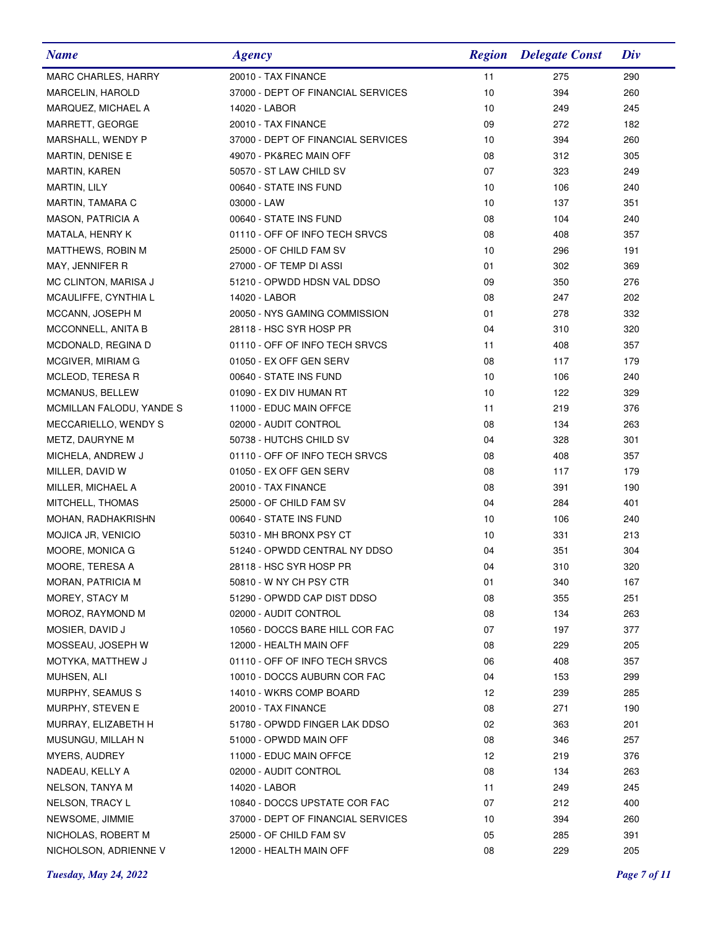| <b>Name</b>              | <b>Agency</b>                      | <b>Region</b> | <b>Delegate Const</b> | Div |
|--------------------------|------------------------------------|---------------|-----------------------|-----|
| MARC CHARLES, HARRY      | 20010 - TAX FINANCE                | 11            | 275                   | 290 |
| MARCELIN, HAROLD         | 37000 - DEPT OF FINANCIAL SERVICES | 10            | 394                   | 260 |
| MARQUEZ, MICHAEL A       | 14020 - LABOR                      | 10            | 249                   | 245 |
| MARRETT, GEORGE          | 20010 - TAX FINANCE                | 09            | 272                   | 182 |
| MARSHALL, WENDY P        | 37000 - DEPT OF FINANCIAL SERVICES | 10            | 394                   | 260 |
| MARTIN, DENISE E         | 49070 - PK&REC MAIN OFF            | 08            | 312                   | 305 |
| <b>MARTIN, KAREN</b>     | 50570 - ST LAW CHILD SV            | 07            | 323                   | 249 |
| MARTIN, LILY             | 00640 - STATE INS FUND             | 10            | 106                   | 240 |
| MARTIN, TAMARA C         | 03000 - LAW                        | 10            | 137                   | 351 |
| MASON, PATRICIA A        | 00640 - STATE INS FUND             | 08            | 104                   | 240 |
| MATALA, HENRY K          | 01110 - OFF OF INFO TECH SRVCS     | 08            | 408                   | 357 |
| MATTHEWS, ROBIN M        | 25000 - OF CHILD FAM SV            | 10            | 296                   | 191 |
| MAY, JENNIFER R          | 27000 - OF TEMP DI ASSI            | 01            | 302                   | 369 |
| MC CLINTON, MARISA J     | 51210 - OPWDD HDSN VAL DDSO        | 09            | 350                   | 276 |
| MCAULIFFE, CYNTHIA L     | 14020 - LABOR                      | 08            | 247                   | 202 |
| MCCANN, JOSEPH M         | 20050 - NYS GAMING COMMISSION      | 01            | 278                   | 332 |
| MCCONNELL, ANITA B       | 28118 - HSC SYR HOSP PR            | 04            | 310                   | 320 |
| MCDONALD, REGINA D       | 01110 - OFF OF INFO TECH SRVCS     | 11            | 408                   | 357 |
| MCGIVER, MIRIAM G        | 01050 - EX OFF GEN SERV            | 08            | 117                   | 179 |
| MCLEOD, TERESA R         | 00640 - STATE INS FUND             | 10            | 106                   | 240 |
| MCMANUS, BELLEW          | 01090 - EX DIV HUMAN RT            | 10            | 122                   | 329 |
| MCMILLAN FALODU, YANDE S | 11000 - EDUC MAIN OFFCE            | 11            | 219                   | 376 |
| MECCARIELLO, WENDY S     | 02000 - AUDIT CONTROL              | 08            | 134                   | 263 |
| METZ, DAURYNE M          | 50738 - HUTCHS CHILD SV            | 04            | 328                   | 301 |
| MICHELA, ANDREW J        | 01110 - OFF OF INFO TECH SRVCS     | 08            | 408                   | 357 |
| MILLER, DAVID W          | 01050 - EX OFF GEN SERV            | 08            | 117                   | 179 |
| MILLER, MICHAEL A        | 20010 - TAX FINANCE                | 08            | 391                   | 190 |
| MITCHELL, THOMAS         | 25000 - OF CHILD FAM SV            | 04            | 284                   | 401 |
| MOHAN, RADHAKRISHN       | 00640 - STATE INS FUND             | 10            | 106                   | 240 |
| MOJICA JR, VENICIO       | 50310 - MH BRONX PSY CT            | 10            | 331                   | 213 |
| MOORE, MONICA G          | 51240 - OPWDD CENTRAL NY DDSO      | 04            | 351                   | 304 |
| MOORE, TERESA A          | 28118 - HSC SYR HOSP PR            | 04            | 310                   | 320 |
| MORAN, PATRICIA M        | 50810 - W NY CH PSY CTR            | 01            | 340                   | 167 |
| MOREY, STACY M           | 51290 - OPWDD CAP DIST DDSO        | 08            | 355                   | 251 |
| MOROZ, RAYMOND M         | 02000 - AUDIT CONTROL              | 08            | 134                   | 263 |
| MOSIER, DAVID J          | 10560 - DOCCS BARE HILL COR FAC    | 07            | 197                   | 377 |
| MOSSEAU, JOSEPH W        | 12000 - HEALTH MAIN OFF            | 08            | 229                   | 205 |
| MOTYKA, MATTHEW J        | 01110 - OFF OF INFO TECH SRVCS     | 06            | 408                   | 357 |
| MUHSEN, ALI              | 10010 - DOCCS AUBURN COR FAC       | 04            | 153                   | 299 |
| MURPHY, SEAMUS S         | 14010 - WKRS COMP BOARD            | 12            | 239                   | 285 |
| MURPHY, STEVEN E         | 20010 - TAX FINANCE                | 08            | 271                   | 190 |
| MURRAY, ELIZABETH H      | 51780 - OPWDD FINGER LAK DDSO      | 02            | 363                   | 201 |
| MUSUNGU, MILLAH N        | 51000 - OPWDD MAIN OFF             | 08            | 346                   | 257 |
| MYERS, AUDREY            | 11000 - EDUC MAIN OFFCE            | 12            | 219                   | 376 |
| NADEAU, KELLY A          | 02000 - AUDIT CONTROL              | 08            | 134                   | 263 |
| NELSON, TANYA M          | 14020 - LABOR                      | 11            | 249                   | 245 |
| NELSON, TRACY L          | 10840 - DOCCS UPSTATE COR FAC      | 07            | 212                   | 400 |
| NEWSOME, JIMMIE          | 37000 - DEPT OF FINANCIAL SERVICES | 10            | 394                   | 260 |
| NICHOLAS, ROBERT M       | 25000 - OF CHILD FAM SV            | 05            | 285                   | 391 |
| NICHOLSON, ADRIENNE V    | 12000 - HEALTH MAIN OFF            | 08            | 229                   | 205 |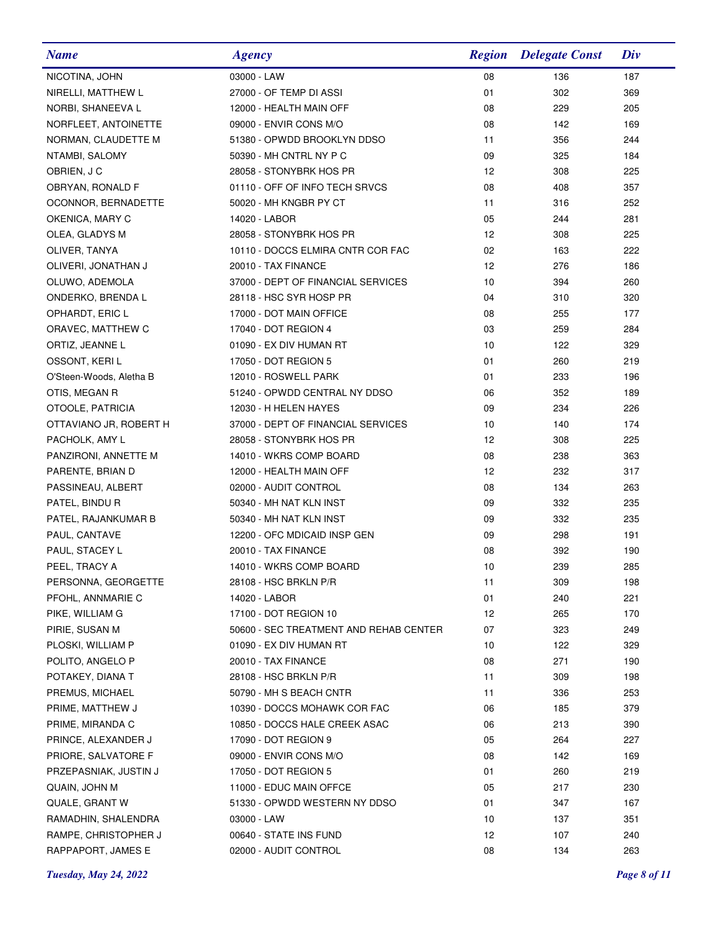| <b>Name</b>             | <b>Agency</b>                          | <b>Region</b> | <b>Delegate Const</b> | Div |
|-------------------------|----------------------------------------|---------------|-----------------------|-----|
| NICOTINA, JOHN          | 03000 - LAW                            | 08            | 136                   | 187 |
| NIRELLI, MATTHEW L      | 27000 - OF TEMP DI ASSI                | 01            | 302                   | 369 |
| NORBI, SHANEEVA L       | 12000 - HEALTH MAIN OFF                | 08            | 229                   | 205 |
| NORFLEET, ANTOINETTE    | 09000 - ENVIR CONS M/O                 | 08            | 142                   | 169 |
| NORMAN, CLAUDETTE M     | 51380 - OPWDD BROOKLYN DDSO            | 11            | 356                   | 244 |
| NTAMBI, SALOMY          | 50390 - MH CNTRL NY P C                | 09            | 325                   | 184 |
| OBRIEN, J C             | 28058 - STONYBRK HOS PR                | 12            | 308                   | 225 |
| OBRYAN, RONALD F        | 01110 - OFF OF INFO TECH SRVCS         | 08            | 408                   | 357 |
| OCONNOR, BERNADETTE     | 50020 - MH KNGBR PY CT                 | 11            | 316                   | 252 |
| OKENICA, MARY C         | 14020 - LABOR                          | 05            | 244                   | 281 |
| OLEA, GLADYS M          | 28058 - STONYBRK HOS PR                | 12            | 308                   | 225 |
| OLIVER, TANYA           | 10110 - DOCCS ELMIRA CNTR COR FAC      | 02            | 163                   | 222 |
| OLIVERI, JONATHAN J     | 20010 - TAX FINANCE                    | 12            | 276                   | 186 |
| OLUWO, ADEMOLA          | 37000 - DEPT OF FINANCIAL SERVICES     | 10            | 394                   | 260 |
| ONDERKO, BRENDA L       | 28118 - HSC SYR HOSP PR                | 04            | 310                   | 320 |
| OPHARDT, ERIC L         | 17000 - DOT MAIN OFFICE                | 08            | 255                   | 177 |
| ORAVEC, MATTHEW C       | 17040 - DOT REGION 4                   | 03            | 259                   | 284 |
| ORTIZ, JEANNE L         | 01090 - EX DIV HUMAN RT                | 10            | 122                   | 329 |
| OSSONT, KERI L          | 17050 - DOT REGION 5                   | 01            | 260                   | 219 |
| O'Steen-Woods, Aletha B | 12010 - ROSWELL PARK                   | 01            | 233                   | 196 |
| OTIS, MEGAN R           | 51240 - OPWDD CENTRAL NY DDSO          | 06            | 352                   | 189 |
| OTOOLE, PATRICIA        | 12030 - H HELEN HAYES                  | 09            | 234                   | 226 |
| OTTAVIANO JR, ROBERT H  | 37000 - DEPT OF FINANCIAL SERVICES     | 10            | 140                   | 174 |
| PACHOLK, AMY L          | 28058 - STONYBRK HOS PR                | 12            | 308                   | 225 |
| PANZIRONI, ANNETTE M    | 14010 - WKRS COMP BOARD                | 08            | 238                   | 363 |
| PARENTE, BRIAN D        | 12000 - HEALTH MAIN OFF                | 12            | 232                   | 317 |
| PASSINEAU, ALBERT       | 02000 - AUDIT CONTROL                  | 08            | 134                   | 263 |
| PATEL, BINDU R          | 50340 - MH NAT KLN INST                | 09            | 332                   | 235 |
| PATEL, RAJANKUMAR B     | 50340 - MH NAT KLN INST                | 09            | 332                   | 235 |
| PAUL, CANTAVE           | 12200 - OFC MDICAID INSP GEN           | 09            | 298                   | 191 |
| PAUL, STACEY L          | 20010 - TAX FINANCE                    | 08            | 392                   | 190 |
| PEEL, TRACY A           | 14010 - WKRS COMP BOARD                | 10            | 239                   | 285 |
| PERSONNA, GEORGETTE     | 28108 - HSC BRKLN P/R                  | 11            | 309                   | 198 |
| PFOHL, ANNMARIE C       | 14020 - LABOR                          | 01            | 240                   | 221 |
| PIKE, WILLIAM G         | 17100 - DOT REGION 10                  | 12            | 265                   | 170 |
| PIRIE, SUSAN M          | 50600 - SEC TREATMENT AND REHAB CENTER | 07            | 323                   | 249 |
| PLOSKI, WILLIAM P       | 01090 - EX DIV HUMAN RT                | 10            | 122                   | 329 |
| POLITO, ANGELO P        | 20010 - TAX FINANCE                    | 08            | 271                   | 190 |
| POTAKEY, DIANA T        | 28108 - HSC BRKLN P/R                  | 11            | 309                   | 198 |
| PREMUS, MICHAEL         | 50790 - MH S BEACH CNTR                | 11            | 336                   | 253 |
| PRIME, MATTHEW J        | 10390 - DOCCS MOHAWK COR FAC           | 06            | 185                   | 379 |
| PRIME, MIRANDA C        | 10850 - DOCCS HALE CREEK ASAC          | 06            | 213                   | 390 |
| PRINCE, ALEXANDER J     | 17090 - DOT REGION 9                   | 05            | 264                   | 227 |
| PRIORE, SALVATORE F     | 09000 - ENVIR CONS M/O                 | 08            | 142                   | 169 |
| PRZEPASNIAK, JUSTIN J   | 17050 - DOT REGION 5                   | 01            | 260                   | 219 |
| QUAIN, JOHN M           | 11000 - EDUC MAIN OFFCE                | 05            | 217                   | 230 |
| QUALE, GRANT W          | 51330 - OPWDD WESTERN NY DDSO          | 01            | 347                   | 167 |
| RAMADHIN, SHALENDRA     | 03000 - LAW                            | 10            | 137                   | 351 |
| RAMPE, CHRISTOPHER J    | 00640 - STATE INS FUND                 | 12            | 107                   | 240 |
| RAPPAPORT, JAMES E      | 02000 - AUDIT CONTROL                  | 08            | 134                   | 263 |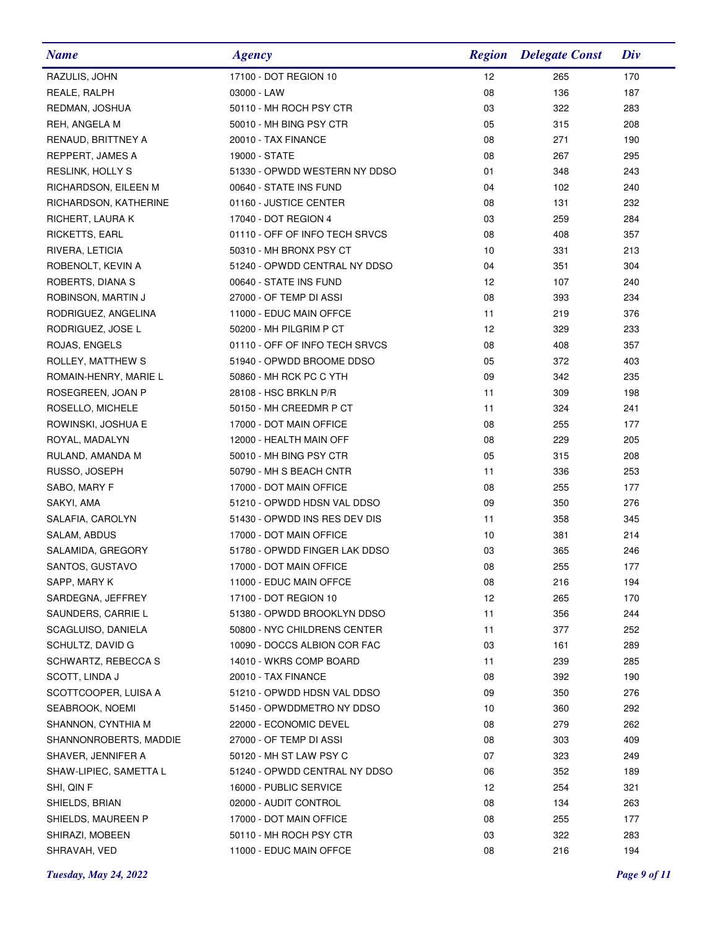| <b>Name</b>            | <b>Agency</b>                  | <b>Region</b> | <b>Delegate Const</b> | Div |
|------------------------|--------------------------------|---------------|-----------------------|-----|
| RAZULIS, JOHN          | 17100 - DOT REGION 10          | 12            | 265                   | 170 |
| REALE, RALPH           | 03000 - LAW                    | 08            | 136                   | 187 |
| REDMAN, JOSHUA         | 50110 - MH ROCH PSY CTR        | 03            | 322                   | 283 |
| REH, ANGELA M          | 50010 - MH BING PSY CTR        | 05            | 315                   | 208 |
| RENAUD, BRITTNEY A     | 20010 - TAX FINANCE            | 08            | 271                   | 190 |
| REPPERT, JAMES A       | 19000 - STATE                  | 08            | 267                   | 295 |
| RESLINK, HOLLY S       | 51330 - OPWDD WESTERN NY DDSO  | 01            | 348                   | 243 |
| RICHARDSON, EILEEN M   | 00640 - STATE INS FUND         | 04            | 102                   | 240 |
| RICHARDSON, KATHERINE  | 01160 - JUSTICE CENTER         | 08            | 131                   | 232 |
| RICHERT, LAURA K       | 17040 - DOT REGION 4           | 03            | 259                   | 284 |
| <b>RICKETTS, EARL</b>  | 01110 - OFF OF INFO TECH SRVCS | 08            | 408                   | 357 |
| RIVERA, LETICIA        | 50310 - MH BRONX PSY CT        | 10            | 331                   | 213 |
| ROBENOLT, KEVIN A      | 51240 - OPWDD CENTRAL NY DDSO  | 04            | 351                   | 304 |
| ROBERTS, DIANA S       | 00640 - STATE INS FUND         | 12            | 107                   | 240 |
| ROBINSON, MARTIN J     | 27000 - OF TEMP DI ASSI        | 08            | 393                   | 234 |
| RODRIGUEZ, ANGELINA    | 11000 - EDUC MAIN OFFCE        | 11            | 219                   | 376 |
| RODRIGUEZ, JOSE L      | 50200 - MH PILGRIM P CT        | 12            | 329                   | 233 |
| ROJAS, ENGELS          | 01110 - OFF OF INFO TECH SRVCS | 08            | 408                   | 357 |
| ROLLEY, MATTHEW S      | 51940 - OPWDD BROOME DDSO      | 05            | 372                   | 403 |
| ROMAIN-HENRY, MARIE L  | 50860 - MH RCK PC C YTH        | 09            | 342                   | 235 |
| ROSEGREEN, JOAN P      | 28108 - HSC BRKLN P/R          | 11            | 309                   | 198 |
| ROSELLO, MICHELE       | 50150 - MH CREEDMR P CT        | 11            | 324                   | 241 |
| ROWINSKI, JOSHUA E     | 17000 - DOT MAIN OFFICE        | 08            | 255                   | 177 |
| ROYAL, MADALYN         | 12000 - HEALTH MAIN OFF        | 08            | 229                   | 205 |
| RULAND, AMANDA M       | 50010 - MH BING PSY CTR        | 05            | 315                   | 208 |
| RUSSO, JOSEPH          | 50790 - MH S BEACH CNTR        | 11            | 336                   | 253 |
| SABO, MARY F           | 17000 - DOT MAIN OFFICE        | 08            | 255                   | 177 |
| SAKYI, AMA             | 51210 - OPWDD HDSN VAL DDSO    | 09            | 350                   | 276 |
| SALAFIA, CAROLYN       | 51430 - OPWDD INS RES DEV DIS  | 11            | 358                   | 345 |
| SALAM, ABDUS           | 17000 - DOT MAIN OFFICE        | 10            | 381                   | 214 |
| SALAMIDA, GREGORY      | 51780 - OPWDD FINGER LAK DDSO  | 03            | 365                   | 246 |
| SANTOS, GUSTAVO        | 17000 - DOT MAIN OFFICE        | 08            | 255                   | 177 |
| SAPP, MARY K           | 11000 - EDUC MAIN OFFCE        | 08            | 216                   | 194 |
| SARDEGNA, JEFFREY      | 17100 - DOT REGION 10          | 12            | 265                   | 170 |
| SAUNDERS, CARRIE L     | 51380 - OPWDD BROOKLYN DDSO    | 11            | 356                   | 244 |
| SCAGLUISO, DANIELA     | 50800 - NYC CHILDRENS CENTER   | 11            | 377                   | 252 |
| SCHULTZ, DAVID G       | 10090 - DOCCS ALBION COR FAC   | 03            | 161                   | 289 |
| SCHWARTZ, REBECCA S    | 14010 - WKRS COMP BOARD        | 11            | 239                   | 285 |
| SCOTT, LINDA J         | 20010 - TAX FINANCE            | 08            | 392                   | 190 |
| SCOTTCOOPER, LUISA A   | 51210 - OPWDD HDSN VAL DDSO    | 09            | 350                   | 276 |
| SEABROOK, NOEMI        | 51450 - OPWDDMETRO NY DDSO     | 10            | 360                   | 292 |
| SHANNON, CYNTHIA M     | 22000 - ECONOMIC DEVEL         | 08            | 279                   | 262 |
| SHANNONROBERTS, MADDIE | 27000 - OF TEMP DI ASSI        | 08            | 303                   | 409 |
| SHAVER, JENNIFER A     | 50120 - MH ST LAW PSY C        | 07            | 323                   | 249 |
| SHAW-LIPIEC, SAMETTA L | 51240 - OPWDD CENTRAL NY DDSO  | 06            | 352                   | 189 |
| SHI, QIN F             | 16000 - PUBLIC SERVICE         | 12            | 254                   | 321 |
| SHIELDS, BRIAN         | 02000 - AUDIT CONTROL          | 08            | 134                   | 263 |
| SHIELDS, MAUREEN P     | 17000 - DOT MAIN OFFICE        | 08            | 255                   | 177 |
| SHIRAZI, MOBEEN        | 50110 - MH ROCH PSY CTR        | 03            | 322                   | 283 |
| SHRAVAH, VED           | 11000 - EDUC MAIN OFFCE        | 08            | 216                   | 194 |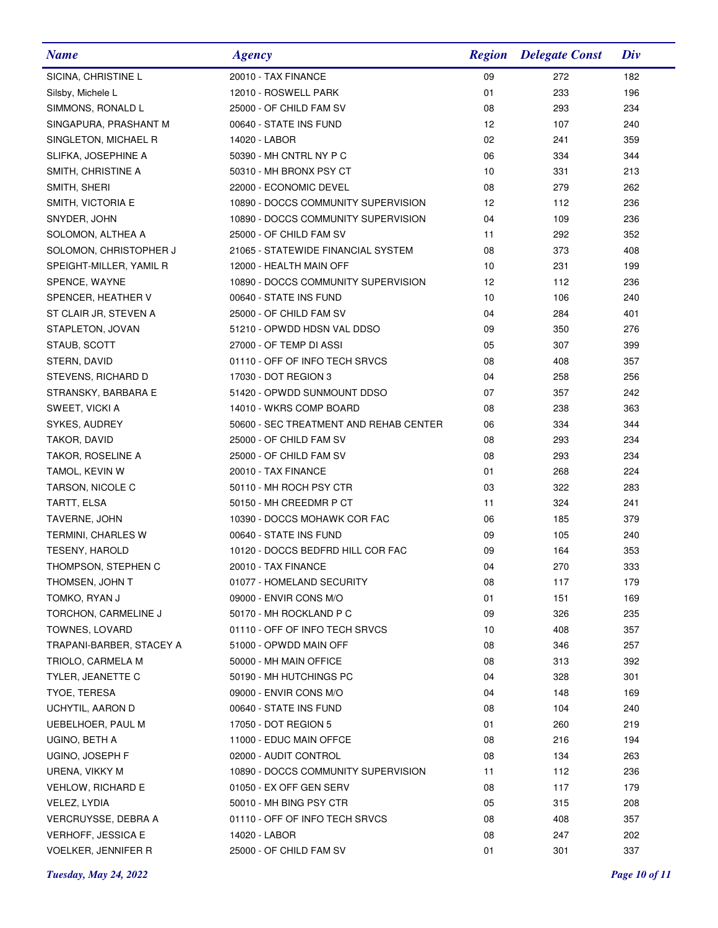| <b>Name</b>                | <b>Agency</b>                          | <b>Region</b> | <b>Delegate Const</b> | Div |
|----------------------------|----------------------------------------|---------------|-----------------------|-----|
| SICINA, CHRISTINE L        | 20010 - TAX FINANCE                    | 09            | 272                   | 182 |
| Silsby, Michele L          | 12010 - ROSWELL PARK                   | 01            | 233                   | 196 |
| SIMMONS, RONALD L          | 25000 - OF CHILD FAM SV                | 08            | 293                   | 234 |
| SINGAPURA, PRASHANT M      | 00640 - STATE INS FUND                 | 12            | 107                   | 240 |
| SINGLETON, MICHAEL R       | 14020 - LABOR                          | 02            | 241                   | 359 |
| SLIFKA, JOSEPHINE A        | 50390 - MH CNTRL NY P C                | 06            | 334                   | 344 |
| SMITH, CHRISTINE A         | 50310 - MH BRONX PSY CT                | 10            | 331                   | 213 |
| SMITH, SHERI               | 22000 - ECONOMIC DEVEL                 | 08            | 279                   | 262 |
| SMITH, VICTORIA E          | 10890 - DOCCS COMMUNITY SUPERVISION    | 12            | 112                   | 236 |
| SNYDER, JOHN               | 10890 - DOCCS COMMUNITY SUPERVISION    | 04            | 109                   | 236 |
| SOLOMON, ALTHEA A          | 25000 - OF CHILD FAM SV                | 11            | 292                   | 352 |
| SOLOMON, CHRISTOPHER J     | 21065 - STATEWIDE FINANCIAL SYSTEM     | 08            | 373                   | 408 |
| SPEIGHT-MILLER, YAMIL R    | 12000 - HEALTH MAIN OFF                | 10            | 231                   | 199 |
| SPENCE, WAYNE              | 10890 - DOCCS COMMUNITY SUPERVISION    | 12            | 112                   | 236 |
| SPENCER, HEATHER V         | 00640 - STATE INS FUND                 | 10            | 106                   | 240 |
| ST CLAIR JR, STEVEN A      | 25000 - OF CHILD FAM SV                | 04            | 284                   | 401 |
| STAPLETON, JOVAN           | 51210 - OPWDD HDSN VAL DDSO            | 09            | 350                   | 276 |
| STAUB, SCOTT               | 27000 - OF TEMP DI ASSI                | 05            | 307                   | 399 |
| STERN, DAVID               | 01110 - OFF OF INFO TECH SRVCS         | 08            | 408                   | 357 |
| STEVENS, RICHARD D         | 17030 - DOT REGION 3                   | 04            | 258                   | 256 |
| STRANSKY, BARBARA E        | 51420 - OPWDD SUNMOUNT DDSO            | 07            | 357                   | 242 |
| SWEET, VICKI A             | 14010 - WKRS COMP BOARD                | 08            | 238                   | 363 |
| SYKES, AUDREY              | 50600 - SEC TREATMENT AND REHAB CENTER | 06            | 334                   | 344 |
| TAKOR, DAVID               | 25000 - OF CHILD FAM SV                | 08            | 293                   | 234 |
| TAKOR, ROSELINE A          | 25000 - OF CHILD FAM SV                | 08            | 293                   | 234 |
| TAMOL, KEVIN W             | 20010 - TAX FINANCE                    | 01            | 268                   | 224 |
| TARSON, NICOLE C           | 50110 - MH ROCH PSY CTR                | 03            | 322                   | 283 |
| TARTT, ELSA                | 50150 - MH CREEDMR P CT                | 11            | 324                   | 241 |
| TAVERNE, JOHN              | 10390 - DOCCS MOHAWK COR FAC           | 06            | 185                   | 379 |
| TERMINI, CHARLES W         | 00640 - STATE INS FUND                 | 09            | 105                   | 240 |
| <b>TESENY, HAROLD</b>      | 10120 - DOCCS BEDFRD HILL COR FAC      | 09            | 164                   | 353 |
| THOMPSON, STEPHEN C        | 20010 - TAX FINANCE                    | 04            | 270                   | 333 |
| THOMSEN, JOHN T            | 01077 - HOMELAND SECURITY              | 08            | 117                   | 179 |
| TOMKO, RYAN J              | 09000 - ENVIR CONS M/O                 | 01            | 151                   | 169 |
| TORCHON, CARMELINE J       | 50170 - MH ROCKLAND P C                | 09            | 326                   | 235 |
| TOWNES, LOVARD             | 01110 - OFF OF INFO TECH SRVCS         | 10            | 408                   | 357 |
| TRAPANI-BARBER, STACEY A   | 51000 - OPWDD MAIN OFF                 | 08            | 346                   | 257 |
| TRIOLO, CARMELA M          | 50000 - MH MAIN OFFICE                 | 08            | 313                   | 392 |
| TYLER, JEANETTE C          | 50190 - MH HUTCHINGS PC                | 04            | 328                   | 301 |
| TYOE, TERESA               | 09000 - ENVIR CONS M/O                 | 04            | 148                   | 169 |
| UCHYTIL, AARON D           | 00640 - STATE INS FUND                 | 08            | 104                   | 240 |
| UEBELHOER, PAUL M          | 17050 - DOT REGION 5                   | 01            | 260                   | 219 |
| UGINO, BETH A              | 11000 - EDUC MAIN OFFCE                | 08            | 216                   | 194 |
| UGINO, JOSEPH F            | 02000 - AUDIT CONTROL                  | 08            | 134                   | 263 |
| URENA, VIKKY M             | 10890 - DOCCS COMMUNITY SUPERVISION    | 11            | 112                   | 236 |
| <b>VEHLOW, RICHARD E</b>   | 01050 - EX OFF GEN SERV                | 08            | 117                   | 179 |
| VELEZ, LYDIA               | 50010 - MH BING PSY CTR                | 05            | 315                   | 208 |
| VERCRUYSSE, DEBRA A        | 01110 - OFF OF INFO TECH SRVCS         | 08            | 408                   | 357 |
| <b>VERHOFF, JESSICA E</b>  | 14020 - LABOR                          | 08            | 247                   | 202 |
| <b>VOELKER, JENNIFER R</b> | 25000 - OF CHILD FAM SV                | 01            | 301                   | 337 |